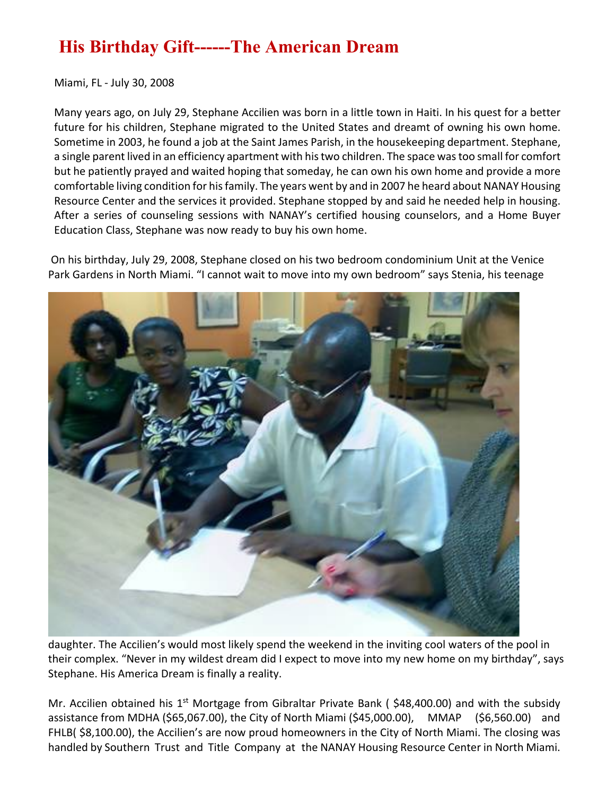## **His Birthday Gift------The American Dream**

Miami, FL - July 30, 2008

Many years ago, on July 29, Stephane Accilien was born in a little town in Haiti. In his quest for a better future for his children, Stephane migrated to the United States and dreamt of owning his own home. Sometime in 2003, he found a job at the Saint James Parish, in the housekeeping department. Stephane, a single parent lived in an efficiency apartment with his two children. The space was too small for comfort but he patiently prayed and waited hoping that someday, he can own his own home and provide a more comfortable living condition for his family. The years went by and in 2007 he heard about NANAY Housing Resource Center and the services it provided. Stephane stopped by and said he needed help in housing. After a series of counseling sessions with NANAY's certified housing counselors, and a Home Buyer Education Class, Stephane was now ready to buy his own home.

On his birthday, July 29, 2008, Stephane closed on his two bedroom condominium Unit at the Venice Park Gardens in North Miami. "I cannot wait to move into my own bedroom" says Stenia, his teenage



daughter. The Accilien's would most likely spend the weekend in the inviting cool waters of the pool in their complex. "Never in my wildest dream did I expect to move into my new home on my birthday", says Stephane. His America Dream is finally a reality.

Mr. Accilien obtained his  $1^{st}$  Mortgage from Gibraltar Private Bank (\$48,400.00) and with the subsidy assistance from MDHA (\$65,067.00), the City of North Miami (\$45,000.00), MMAP (\$6,560.00) and FHLB( \$8,100.00), the Accilien's are now proud homeowners in the City of North Miami. The closing was handled by Southern Trust and Title Company at the NANAY Housing Resource Center in North Miami.